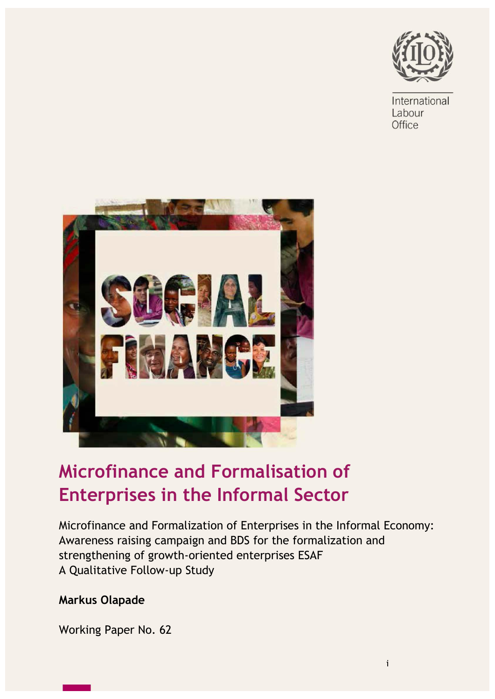

International Labour Office



## **Microfinance and Formalisation of Enterprises in the Informal Sector**

Microfinance and Formalization of Enterprises in the Informal Economy: Awareness raising campaign and BDS for the formalization and strengthening of growth-oriented enterprises ESAF A Qualitative Follow-up Study

## **Markus Olapade**

Working Paper No. 62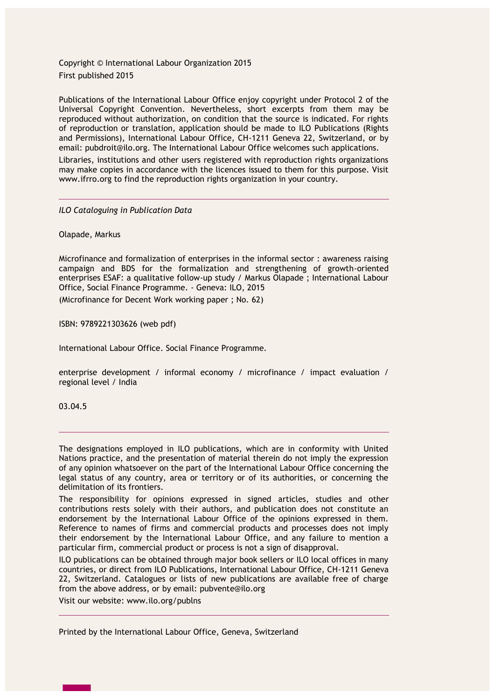Copyright © International Labour Organization 2015 First published 2015

Publications of the International Labour Office enjoy copyright under Protocol 2 of the Universal Copyright Convention. Nevertheless, short excerpts from them may be reproduced without authorization, on condition that the source is indicated. For rights of reproduction or translation, application should be made to ILO Publications (Rights and Permissions), International Labour Office, CH-1211 Geneva 22, Switzerland, or by email: pubdroit@ilo.org. The International Labour Office welcomes such applications.

Libraries, institutions and other users registered with reproduction rights organizations may make copies in accordance with the licences issued to them for this purpose. Visit www.ifrro.org to find the reproduction rights organization in your country.

*ILO Cataloguing in Publication Data*

Olapade, Markus

Microfinance and formalization of enterprises in the informal sector : awareness raising campaign and BDS for the formalization and strengthening of growth-oriented enterprises ESAF: a qualitative follow-up study / Markus Olapade ; International Labour Office, Social Finance Programme. - Geneva: ILO, 2015

(Microfinance for Decent Work working paper ; No. 62)

ISBN: 9789221303626 (web pdf)

International Labour Office. Social Finance Programme.

enterprise development / informal economy / microfinance / impact evaluation / regional level / India

03.04.5

The designations employed in ILO publications, which are in conformity with United Nations practice, and the presentation of material therein do not imply the expression of any opinion whatsoever on the part of the International Labour Office concerning the legal status of any country, area or territory or of its authorities, or concerning the delimitation of its frontiers.

The responsibility for opinions expressed in signed articles, studies and other contributions rests solely with their authors, and publication does not constitute an endorsement by the International Labour Office of the opinions expressed in them. Reference to names of firms and commercial products and processes does not imply their endorsement by the International Labour Office, and any failure to mention a particular firm, commercial product or process is not a sign of disapproval.

ILO publications can be obtained through major book sellers or ILO local offices in many countries, or direct from ILO Publications, International Labour Office, CH-1211 Geneva 22, Switzerland. Catalogues or lists of new publications are available free of charge from the above address, or by email: [pubvente@ilo.org](mailto:pubvente@ilo.org)

Visit our website: [www.ilo.org/publns](http://www.ilo.org/publns)

Printed by the International Labour Office, Geneva, Switzerland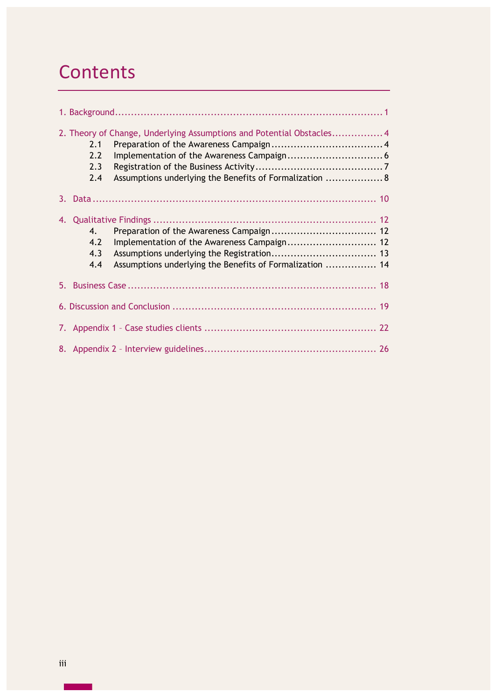## **Contents**

|    | 2.1<br>2.2<br>2.3<br>2.4            | 2. Theory of Change, Underlying Assumptions and Potential Obstacles 4<br>Assumptions underlying the Benefits of Formalization  8 |  |
|----|-------------------------------------|----------------------------------------------------------------------------------------------------------------------------------|--|
| 3. |                                     |                                                                                                                                  |  |
|    | $\mathbf{4}$ .<br>4.2<br>4.3<br>4.4 | Assumptions underlying the Benefits of Formalization  14                                                                         |  |
| 5. |                                     |                                                                                                                                  |  |
|    |                                     |                                                                                                                                  |  |
|    |                                     |                                                                                                                                  |  |
|    |                                     |                                                                                                                                  |  |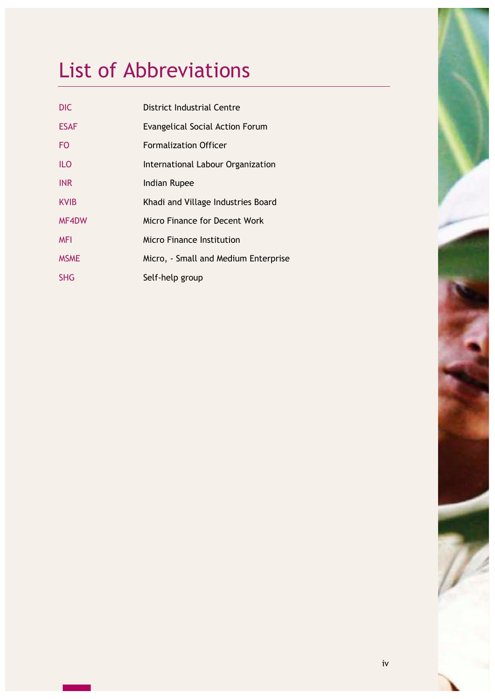# List of Abbreviations

| <b>DIC</b>  | District Industrial Centre             |
|-------------|----------------------------------------|
| <b>ESAF</b> | <b>Evangelical Social Action Forum</b> |
| <b>FO</b>   | <b>Formalization Officer</b>           |
| <b>ILO</b>  | International Labour Organization      |
| <b>INR</b>  | Indian Rupee                           |
| <b>KVIB</b> | Khadi and Village Industries Board     |
| MF4DW       | Micro Finance for Decent Work          |
| <b>MFI</b>  | Micro Finance Institution              |
| <b>MSME</b> | Micro, - Small and Medium Enterprise   |
| <b>SHG</b>  | Self-help group                        |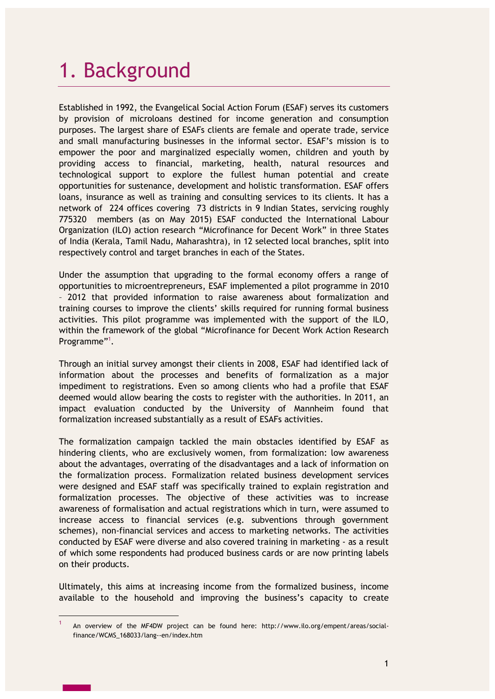# 1. Background

Established in 1992, the Evangelical Social Action Forum (ESAF) serves its customers by provision of microloans destined for income generation and consumption purposes. The largest share of ESAFs clients are female and operate trade, service and small manufacturing businesses in the informal sector. ESAF's mission is to empower the poor and marginalized especially women, children and youth by providing access to financial, marketing, health, natural resources and technological support to explore the fullest human potential and create opportunities for sustenance, development and holistic transformation. ESAF offers loans, insurance as well as training and consulting services to its clients. It has a network of 224 offices covering 73 districts in 9 Indian States, servicing roughly 775320 members (as on May 2015) ESAF conducted the International Labour Organization (ILO) action research "Microfinance for Decent Work" in three States of India (Kerala, Tamil Nadu, Maharashtra), in 12 selected local branches, split into respectively control and target branches in each of the States.

Under the assumption that upgrading to the formal economy offers a range of opportunities to microentrepreneurs, ESAF implemented a pilot programme in 2010 – 2012 that provided information to raise awareness about formalization and training courses to improve the clients' skills required for running formal business activities. This pilot programme was implemented with the support of the ILO, within the framework of the global "Microfinance for Decent Work Action Research Programme"<sup>1</sup>.

Through an initial survey amongst their clients in 2008, ESAF had identified lack of information about the processes and benefits of formalization as a major impediment to registrations. Even so among clients who had a profile that ESAF deemed would allow bearing the costs to register with the authorities. In 2011, an impact evaluation conducted by the University of Mannheim found that formalization increased substantially as a result of ESAFs activities.

The formalization campaign tackled the main obstacles identified by ESAF as hindering clients, who are exclusively women, from formalization: low awareness about the advantages, overrating of the disadvantages and a lack of information on the formalization process. Formalization related business development services were designed and ESAF staff was specifically trained to explain registration and formalization processes. The objective of these activities was to increase awareness of formalisation and actual registrations which in turn, were assumed to increase access to financial services (e.g. subventions through government schemes), non-financial services and access to marketing networks. The activities conducted by ESAF were diverse and also covered training in marketing - as a result of which some respondents had produced business cards or are now printing labels on their products.

Ultimately, this aims at increasing income from the formalized business, income available to the household and improving the business's capacity to create

 $\overline{a}$ 

<sup>1</sup> An overview of the MF4DW project can be found here: [http://www.ilo.org/empent/areas/social](http://www.ilo.org/empent/areas/social-finance/WCMS_168033/lang--en/index.htm)[finance/WCMS\\_168033/lang--en/index.htm](http://www.ilo.org/empent/areas/social-finance/WCMS_168033/lang--en/index.htm)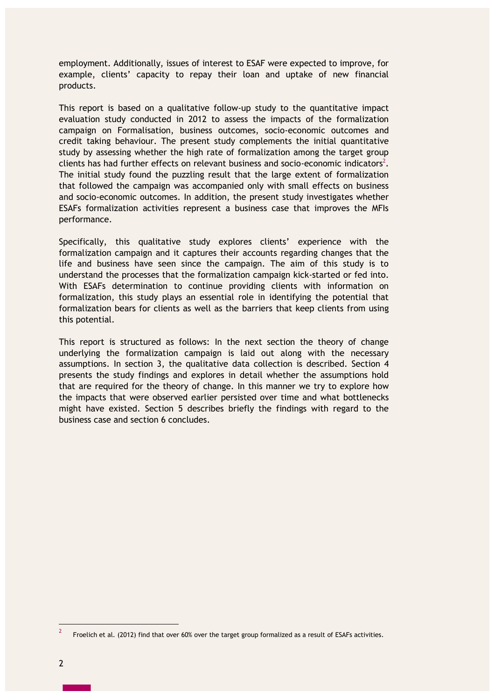employment. Additionally, issues of interest to ESAF were expected to improve, for example, clients' capacity to repay their loan and uptake of new financial products.

This report is based on a qualitative follow-up study to the quantitative impact evaluation study conducted in 2012 to assess the impacts of the formalization campaign on Formalisation, business outcomes, socio-economic outcomes and credit taking behaviour. The present study complements the initial quantitative study by assessing whether the high rate of formalization among the target group clients has had further effects on relevant business and socio-economic indicators<sup>2</sup>. The initial study found the puzzling result that the large extent of formalization that followed the campaign was accompanied only with small effects on business and socio-economic outcomes. In addition, the present study investigates whether ESAFs formalization activities represent a business case that improves the MFIs performance.

Specifically, this qualitative study explores clients' experience with the formalization campaign and it captures their accounts regarding changes that the life and business have seen since the campaign. The aim of this study is to understand the processes that the formalization campaign kick-started or fed into. With ESAFs determination to continue providing clients with information on formalization, this study plays an essential role in identifying the potential that formalization bears for clients as well as the barriers that keep clients from using this potential.

This report is structured as follows: In the next section the theory of change underlying the formalization campaign is laid out along with the necessary assumptions. In section 3, the qualitative data collection is described. Section 4 presents the study findings and explores in detail whether the assumptions hold that are required for the theory of change. In this manner we try to explore how the impacts that were observed earlier persisted over time and what bottlenecks might have existed. Section 5 describes briefly the findings with regard to the business case and section 6 concludes.

 $\overline{a}$ 

<sup>2</sup> Froelich et al. (2012) find that over 60% over the target group formalized as a result of ESAFs activities.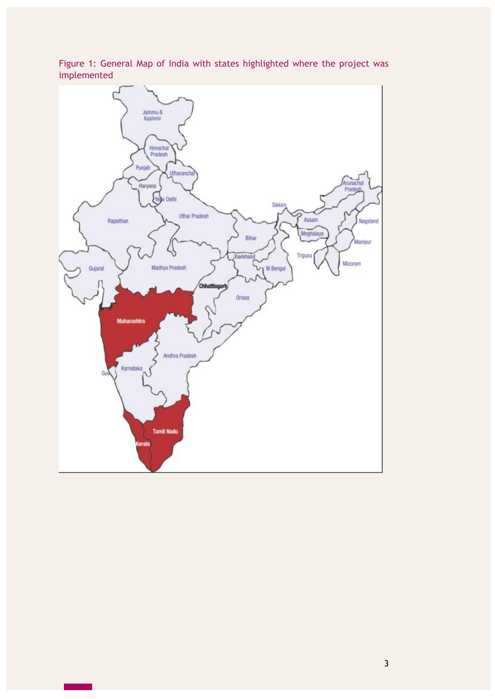

Figure 1: General Map of India with states highlighted where the project was implemented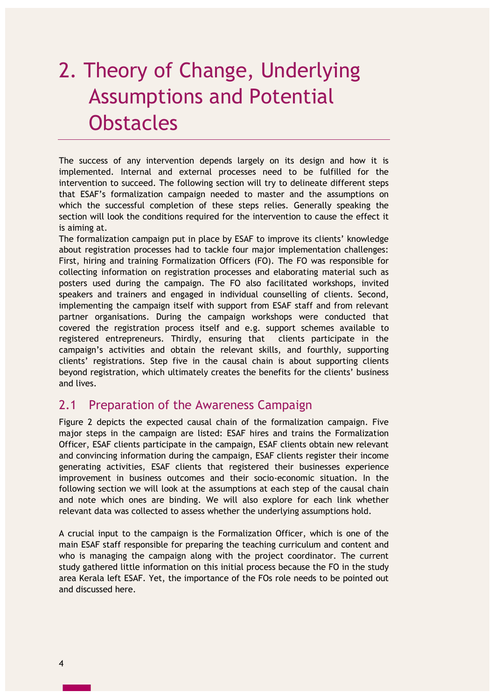# 2. Theory of Change, Underlying Assumptions and Potential **Obstacles**

The success of any intervention depends largely on its design and how it is implemented. Internal and external processes need to be fulfilled for the intervention to succeed. The following section will try to delineate different steps that ESAF's formalization campaign needed to master and the assumptions on which the successful completion of these steps relies. Generally speaking the section will look the conditions required for the intervention to cause the effect it is aiming at.

The formalization campaign put in place by ESAF to improve its clients' knowledge about registration processes had to tackle four major implementation challenges: First, hiring and training Formalization Officers (FO). The FO was responsible for collecting information on registration processes and elaborating material such as posters used during the campaign. The FO also facilitated workshops, invited speakers and trainers and engaged in individual counselling of clients. Second, implementing the campaign itself with support from ESAF staff and from relevant partner organisations. During the campaign workshops were conducted that covered the registration process itself and e.g. support schemes available to registered entrepreneurs. Thirdly, ensuring that clients participate in the campaign's activities and obtain the relevant skills, and fourthly, supporting clients' registrations. Step five in the causal chain is about supporting clients beyond registration, which ultimately creates the benefits for the clients' business and lives.

### 2.1 Preparation of the Awareness Campaign

Figure 2 depicts the expected causal chain of the formalization campaign. Five major steps in the campaign are listed: ESAF hires and trains the Formalization Officer, ESAF clients participate in the campaign, ESAF clients obtain new relevant and convincing information during the campaign, ESAF clients register their income generating activities, ESAF clients that registered their businesses experience improvement in business outcomes and their socio-economic situation. In the following section we will look at the assumptions at each step of the causal chain and note which ones are binding. We will also explore for each link whether relevant data was collected to assess whether the underlying assumptions hold.

A crucial input to the campaign is the Formalization Officer, which is one of the main ESAF staff responsible for preparing the teaching curriculum and content and who is managing the campaign along with the project coordinator. The current study gathered little information on this initial process because the FO in the study area Kerala left ESAF. Yet, the importance of the FOs role needs to be pointed out and discussed here.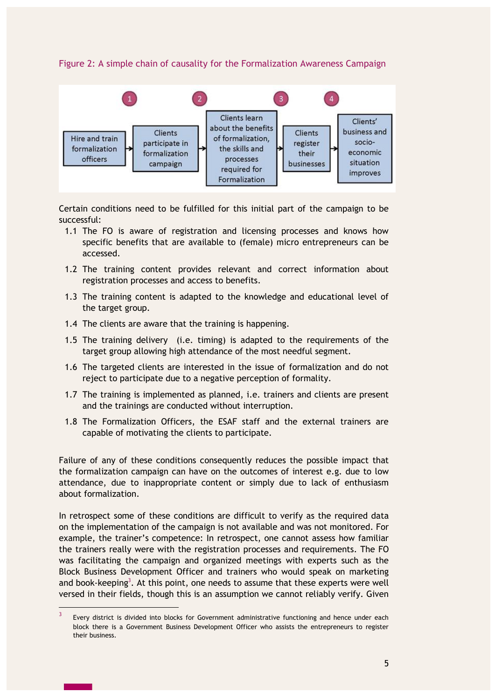Figure 2: A simple chain of causality for the Formalization Awareness Campaign



Certain conditions need to be fulfilled for this initial part of the campaign to be successful:

- 1.1 The FO is aware of registration and licensing processes and knows how specific benefits that are available to (female) micro entrepreneurs can be accessed.
- 1.2 The training content provides relevant and correct information about registration processes and access to benefits.
- 1.3 The training content is adapted to the knowledge and educational level of the target group.
- 1.4 The clients are aware that the training is happening.
- 1.5 The training delivery (i.e. timing) is adapted to the requirements of the target group allowing high attendance of the most needful segment.
- 1.6 The targeted clients are interested in the issue of formalization and do not reject to participate due to a negative perception of formality.
- 1.7 The training is implemented as planned, i.e. trainers and clients are present and the trainings are conducted without interruption.
- 1.8 The Formalization Officers, the ESAF staff and the external trainers are capable of motivating the clients to participate.

Failure of any of these conditions consequently reduces the possible impact that the formalization campaign can have on the outcomes of interest e.g. due to low attendance, due to inappropriate content or simply due to lack of enthusiasm about formalization.

In retrospect some of these conditions are difficult to verify as the required data on the implementation of the campaign is not available and was not monitored. For example, the trainer's competence: In retrospect, one cannot assess how familiar the trainers really were with the registration processes and requirements. The FO was facilitating the campaign and organized meetings with experts such as the Block Business Development Officer and trainers who would speak on marketing and book-keeping<sup>3</sup>. At this point, one needs to assume that these experts were well versed in their fields, though this is an assumption we cannot reliably verify. Given

 $\overline{a}$ 

<sup>3</sup> Every district is divided into blocks for Government administrative functioning and hence under each block there is a Government Business Development Officer who assists the entrepreneurs to register their business.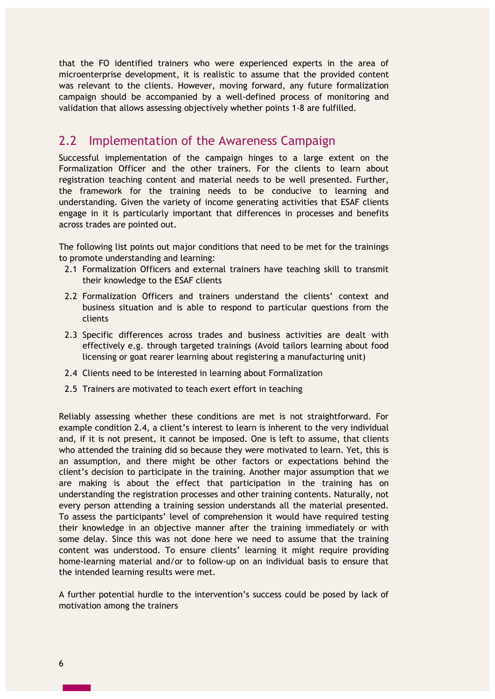that the FO identified trainers who were experienced experts in the area of microenterprise development, it is realistic to assume that the provided content was relevant to the clients. However, moving forward, any future formalization campaign should be accompanied by a well-defined process of monitoring and validation that allows assessing objectively whether points 1-8 are fulfilled.

### 2.2 Implementation of the Awareness Campaign

Successful implementation of the campaign hinges to a large extent on the Formalization Officer and the other trainers. For the clients to learn about registration teaching content and material needs to be well presented. Further, the framework for the training needs to be conducive to learning and understanding. Given the variety of income generating activities that ESAF clients engage in it is particularly important that differences in processes and benefits across trades are pointed out.

The following list points out major conditions that need to be met for the trainings to promote understanding and learning:

- 2.1 Formalization Officers and external trainers have teaching skill to transmit their knowledge to the ESAF clients
- 2.2 Formalization Officers and trainers understand the clients' context and business situation and is able to respond to particular questions from the clients
- 2.3 Specific differences across trades and business activities are dealt with effectively e.g. through targeted trainings (Avoid tailors learning about food licensing or goat rearer learning about registering a manufacturing unit)
- 2.4 Clients need to be interested in learning about Formalization
- 2.5 Trainers are motivated to teach exert effort in teaching

Reliably assessing whether these conditions are met is not straightforward. For example condition 2.4, a client's interest to learn is inherent to the very individual and, if it is not present, it cannot be imposed. One is left to assume, that clients who attended the training did so because they were motivated to learn. Yet, this is an assumption, and there might be other factors or expectations behind the client's decision to participate in the training. Another major assumption that we are making is about the effect that participation in the training has on understanding the registration processes and other training contents. Naturally, not every person attending a training session understands all the material presented. To assess the participants' level of comprehension it would have required testing their knowledge in an objective manner after the training immediately or with some delay. Since this was not done here we need to assume that the training content was understood. To ensure clients' learning it might require providing home-learning material and/or to follow-up on an individual basis to ensure that the intended learning results were met.

A further potential hurdle to the intervention's success could be posed by lack of motivation among the trainers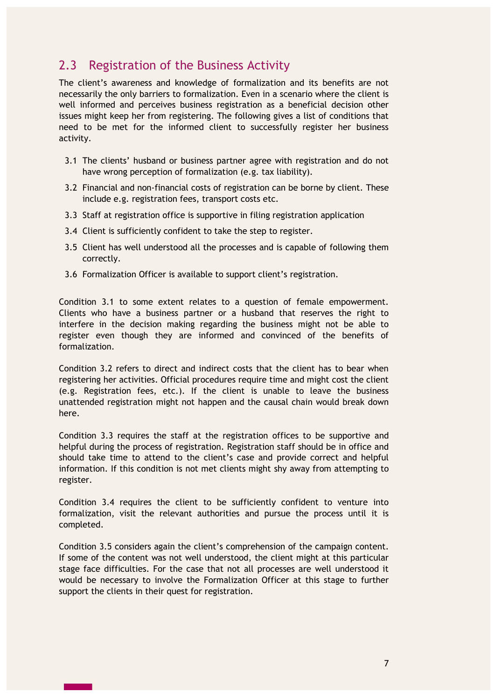## 2.3 Registration of the Business Activity

The client's awareness and knowledge of formalization and its benefits are not necessarily the only barriers to formalization. Even in a scenario where the client is well informed and perceives business registration as a beneficial decision other issues might keep her from registering. The following gives a list of conditions that need to be met for the informed client to successfully register her business activity.

- 3.1 The clients' husband or business partner agree with registration and do not have wrong perception of formalization (e.g. tax liability).
- 3.2 Financial and non-financial costs of registration can be borne by client. These include e.g. registration fees, transport costs etc.
- 3.3 Staff at registration office is supportive in filing registration application
- 3.4 Client is sufficiently confident to take the step to register.
- 3.5 Client has well understood all the processes and is capable of following them correctly.
- 3.6 Formalization Officer is available to support client's registration.

Condition 3.1 to some extent relates to a question of female empowerment. Clients who have a business partner or a husband that reserves the right to interfere in the decision making regarding the business might not be able to register even though they are informed and convinced of the benefits of formalization.

Condition 3.2 refers to direct and indirect costs that the client has to bear when registering her activities. Official procedures require time and might cost the client (e.g. Registration fees, etc.). If the client is unable to leave the business unattended registration might not happen and the causal chain would break down here.

Condition 3.3 requires the staff at the registration offices to be supportive and helpful during the process of registration. Registration staff should be in office and should take time to attend to the client's case and provide correct and helpful information. If this condition is not met clients might shy away from attempting to register.

Condition 3.4 requires the client to be sufficiently confident to venture into formalization, visit the relevant authorities and pursue the process until it is completed.

Condition 3.5 considers again the client's comprehension of the campaign content. If some of the content was not well understood, the client might at this particular stage face difficulties. For the case that not all processes are well understood it would be necessary to involve the Formalization Officer at this stage to further support the clients in their quest for registration.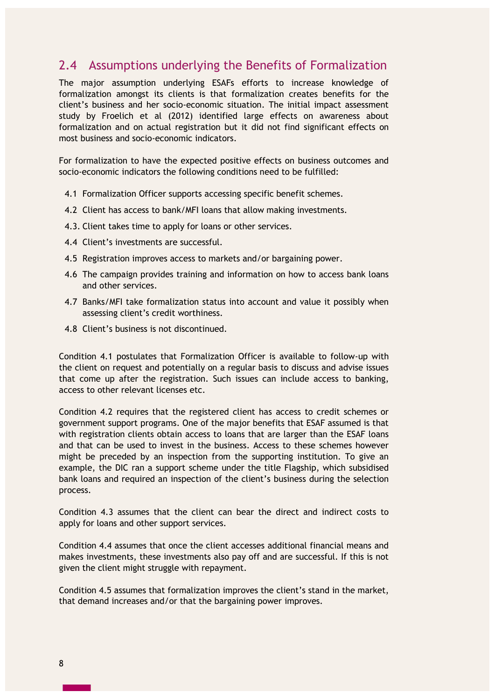## 2.4 Assumptions underlying the Benefits of Formalization

The major assumption underlying ESAFs efforts to increase knowledge of formalization amongst its clients is that formalization creates benefits for the client's business and her socio-economic situation. The initial impact assessment study by Froelich et al (2012) identified large effects on awareness about formalization and on actual registration but it did not find significant effects on most business and socio-economic indicators.

For formalization to have the expected positive effects on business outcomes and socio-economic indicators the following conditions need to be fulfilled:

- 4.1 Formalization Officer supports accessing specific benefit schemes.
- 4.2 Client has access to bank/MFI loans that allow making investments.
- 4.3. Client takes time to apply for loans or other services.
- 4.4 Client's investments are successful.
- 4.5 Registration improves access to markets and/or bargaining power.
- 4.6 The campaign provides training and information on how to access bank loans and other services.
- 4.7 Banks/MFI take formalization status into account and value it possibly when assessing client's credit worthiness.
- 4.8 Client's business is not discontinued.

Condition 4.1 postulates that Formalization Officer is available to follow-up with the client on request and potentially on a regular basis to discuss and advise issues that come up after the registration. Such issues can include access to banking, access to other relevant licenses etc.

Condition 4.2 requires that the registered client has access to credit schemes or government support programs. One of the major benefits that ESAF assumed is that with registration clients obtain access to loans that are larger than the ESAF loans and that can be used to invest in the business. Access to these schemes however might be preceded by an inspection from the supporting institution. To give an example, the DIC ran a support scheme under the title Flagship, which subsidised bank loans and required an inspection of the client's business during the selection process.

Condition 4.3 assumes that the client can bear the direct and indirect costs to apply for loans and other support services.

Condition 4.4 assumes that once the client accesses additional financial means and makes investments, these investments also pay off and are successful. If this is not given the client might struggle with repayment.

Condition 4.5 assumes that formalization improves the client's stand in the market, that demand increases and/or that the bargaining power improves.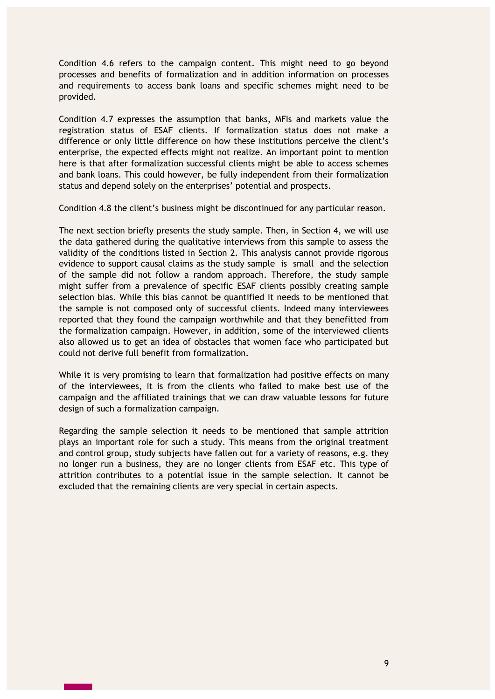Condition 4.6 refers to the campaign content. This might need to go beyond processes and benefits of formalization and in addition information on processes and requirements to access bank loans and specific schemes might need to be provided.

Condition 4.7 expresses the assumption that banks, MFIs and markets value the registration status of ESAF clients. If formalization status does not make a difference or only little difference on how these institutions perceive the client's enterprise, the expected effects might not realize. An important point to mention here is that after formalization successful clients might be able to access schemes and bank loans. This could however, be fully independent from their formalization status and depend solely on the enterprises' potential and prospects.

Condition 4.8 the client's business might be discontinued for any particular reason.

The next section briefly presents the study sample. Then, in Section 4, we will use the data gathered during the qualitative interviews from this sample to assess the validity of the conditions listed in Section 2. This analysis cannot provide rigorous evidence to support causal claims as the study sample is small and the selection of the sample did not follow a random approach. Therefore, the study sample might suffer from a prevalence of specific ESAF clients possibly creating sample selection bias. While this bias cannot be quantified it needs to be mentioned that the sample is not composed only of successful clients. Indeed many interviewees reported that they found the campaign worthwhile and that they benefitted from the formalization campaign. However, in addition, some of the interviewed clients also allowed us to get an idea of obstacles that women face who participated but could not derive full benefit from formalization.

While it is very promising to learn that formalization had positive effects on many of the interviewees, it is from the clients who failed to make best use of the campaign and the affiliated trainings that we can draw valuable lessons for future design of such a formalization campaign.

Regarding the sample selection it needs to be mentioned that sample attrition plays an important role for such a study. This means from the original treatment and control group, study subjects have fallen out for a variety of reasons, e.g. they no longer run a business, they are no longer clients from ESAF etc. This type of attrition contributes to a potential issue in the sample selection. It cannot be excluded that the remaining clients are very special in certain aspects.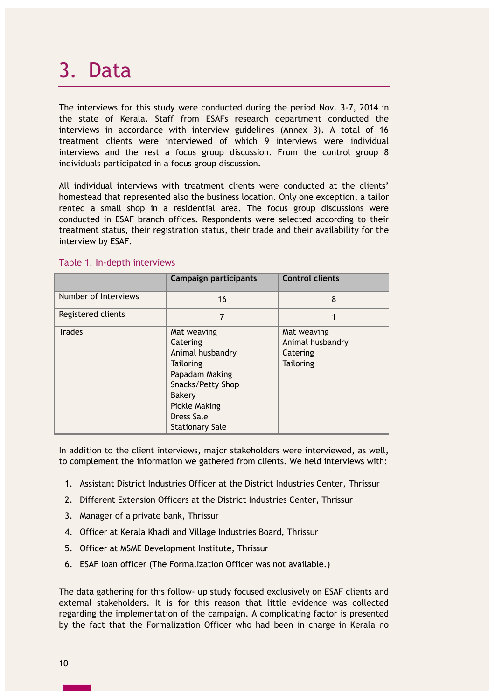## 3. Data

The interviews for this study were conducted during the period Nov. 3-7, 2014 in the state of Kerala. Staff from ESAFs research department conducted the interviews in accordance with interview guidelines (Annex 3). A total of 16 treatment clients were interviewed of which 9 interviews were individual interviews and the rest a focus group discussion. From the control group 8 individuals participated in a focus group discussion.

All individual interviews with treatment clients were conducted at the clients' homestead that represented also the business location. Only one exception, a tailor rented a small shop in a residential area. The focus group discussions were conducted in ESAF branch offices. Respondents were selected according to their treatment status, their registration status, their trade and their availability for the interview by ESAF.

|                      | <b>Campaign participants</b>                                                                                                                                              | <b>Control clients</b>                                          |
|----------------------|---------------------------------------------------------------------------------------------------------------------------------------------------------------------------|-----------------------------------------------------------------|
| Number of Interviews | 16                                                                                                                                                                        | 8                                                               |
| Registered clients   | 7                                                                                                                                                                         |                                                                 |
| <b>Trades</b>        | Mat weaving<br>Catering<br>Animal husbandry<br>Tailoring<br>Papadam Making<br>Snacks/Petty Shop<br>Bakery<br><b>Pickle Making</b><br>Dress Sale<br><b>Stationary Sale</b> | Mat weaving<br>Animal husbandry<br>Catering<br><b>Tailoring</b> |

### Table 1. In-depth interviews

In addition to the client interviews, major stakeholders were interviewed, as well, to complement the information we gathered from clients. We held interviews with:

- 1. Assistant District Industries Officer at the District Industries Center, Thrissur
- 2. Different Extension Officers at the District Industries Center, Thrissur
- 3. Manager of a private bank, Thrissur
- 4. Officer at Kerala Khadi and Village Industries Board, Thrissur
- 5. Officer at MSME Development Institute, Thrissur
- 6. ESAF loan officer (The Formalization Officer was not available.)

The data gathering for this follow- up study focused exclusively on ESAF clients and external stakeholders. It is for this reason that little evidence was collected regarding the implementation of the campaign. A complicating factor is presented by the fact that the Formalization Officer who had been in charge in Kerala no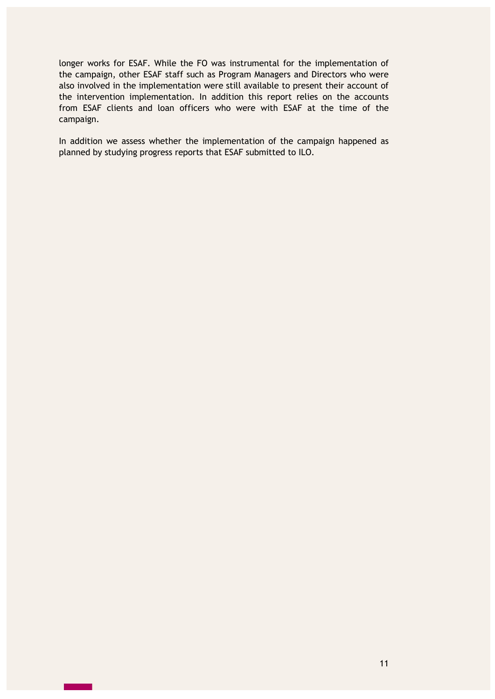longer works for ESAF. While the FO was instrumental for the implementation of the campaign, other ESAF staff such as Program Managers and Directors who were also involved in the implementation were still available to present their account of the intervention implementation. In addition this report relies on the accounts from ESAF clients and loan officers who were with ESAF at the time of the campaign.

In addition we assess whether the implementation of the campaign happened as planned by studying progress reports that ESAF submitted to ILO.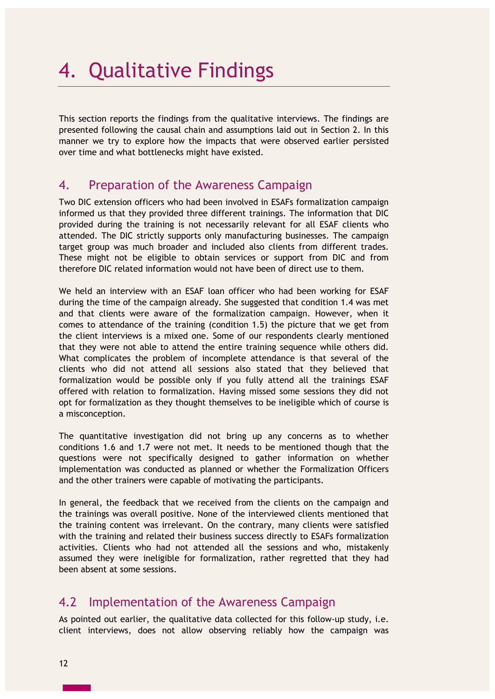# 4. Qualitative Findings

This section reports the findings from the qualitative interviews. The findings are presented following the causal chain and assumptions laid out in Section 2. In this manner we try to explore how the impacts that were observed earlier persisted over time and what bottlenecks might have existed.

### 4. Preparation of the Awareness Campaign

Two DIC extension officers who had been involved in ESAFs formalization campaign informed us that they provided three different trainings. The information that DIC provided during the training is not necessarily relevant for all ESAF clients who attended. The DIC strictly supports only manufacturing businesses. The campaign target group was much broader and included also clients from different trades. These might not be eligible to obtain services or support from DIC and from therefore DIC related information would not have been of direct use to them.

We held an interview with an ESAF loan officer who had been working for ESAF during the time of the campaign already. She suggested that condition 1.4 was met and that clients were aware of the formalization campaign. However, when it comes to attendance of the training (condition 1.5) the picture that we get from the client interviews is a mixed one. Some of our respondents clearly mentioned that they were not able to attend the entire training sequence while others did. What complicates the problem of incomplete attendance is that several of the clients who did not attend all sessions also stated that they believed that formalization would be possible only if you fully attend all the trainings ESAF offered with relation to formalization. Having missed some sessions they did not opt for formalization as they thought themselves to be ineligible which of course is a misconception.

The quantitative investigation did not bring up any concerns as to whether conditions 1.6 and 1.7 were not met. It needs to be mentioned though that the questions were not specifically designed to gather information on whether implementation was conducted as planned or whether the Formalization Officers and the other trainers were capable of motivating the participants.

In general, the feedback that we received from the clients on the campaign and the trainings was overall positive. None of the interviewed clients mentioned that the training content was irrelevant. On the contrary, many clients were satisfied with the training and related their business success directly to ESAFs formalization activities. Clients who had not attended all the sessions and who, mistakenly assumed they were ineligible for formalization, rather regretted that they had been absent at some sessions.

## 4.2 Implementation of the Awareness Campaign

As pointed out earlier, the qualitative data collected for this follow-up study, i.e. client interviews, does not allow observing reliably how the campaign was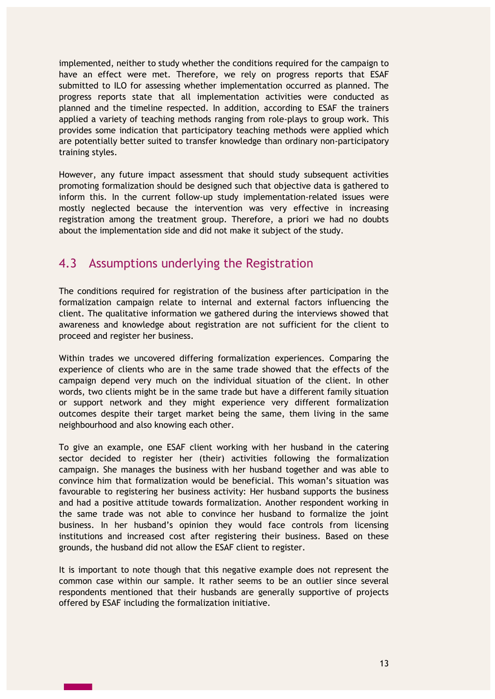implemented, neither to study whether the conditions required for the campaign to have an effect were met. Therefore, we rely on progress reports that ESAF submitted to ILO for assessing whether implementation occurred as planned. The progress reports state that all implementation activities were conducted as planned and the timeline respected. In addition, according to ESAF the trainers applied a variety of teaching methods ranging from role-plays to group work. This provides some indication that participatory teaching methods were applied which are potentially better suited to transfer knowledge than ordinary non-participatory training styles.

However, any future impact assessment that should study subsequent activities promoting formalization should be designed such that objective data is gathered to inform this. In the current follow-up study implementation-related issues were mostly neglected because the intervention was very effective in increasing registration among the treatment group. Therefore, a priori we had no doubts about the implementation side and did not make it subject of the study.

### 4.3 Assumptions underlying the Registration

The conditions required for registration of the business after participation in the formalization campaign relate to internal and external factors influencing the client. The qualitative information we gathered during the interviews showed that awareness and knowledge about registration are not sufficient for the client to proceed and register her business.

Within trades we uncovered differing formalization experiences. Comparing the experience of clients who are in the same trade showed that the effects of the campaign depend very much on the individual situation of the client. In other words, two clients might be in the same trade but have a different family situation or support network and they might experience very different formalization outcomes despite their target market being the same, them living in the same neighbourhood and also knowing each other.

To give an example, one ESAF client working with her husband in the catering sector decided to register her (their) activities following the formalization campaign. She manages the business with her husband together and was able to convince him that formalization would be beneficial. This woman's situation was favourable to registering her business activity: Her husband supports the business and had a positive attitude towards formalization. Another respondent working in the same trade was not able to convince her husband to formalize the joint business. In her husband's opinion they would face controls from licensing institutions and increased cost after registering their business. Based on these grounds, the husband did not allow the ESAF client to register.

It is important to note though that this negative example does not represent the common case within our sample. It rather seems to be an outlier since several respondents mentioned that their husbands are generally supportive of projects offered by ESAF including the formalization initiative.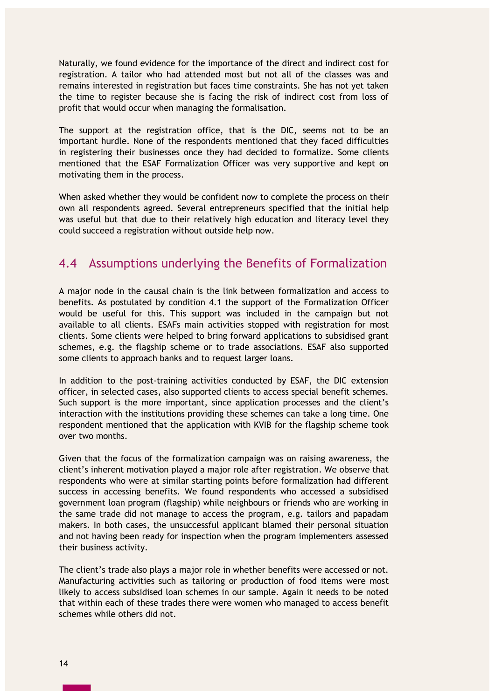Naturally, we found evidence for the importance of the direct and indirect cost for registration. A tailor who had attended most but not all of the classes was and remains interested in registration but faces time constraints. She has not yet taken the time to register because she is facing the risk of indirect cost from loss of profit that would occur when managing the formalisation.

The support at the registration office, that is the DIC, seems not to be an important hurdle. None of the respondents mentioned that they faced difficulties in registering their businesses once they had decided to formalize. Some clients mentioned that the ESAF Formalization Officer was very supportive and kept on motivating them in the process.

When asked whether they would be confident now to complete the process on their own all respondents agreed. Several entrepreneurs specified that the initial help was useful but that due to their relatively high education and literacy level they could succeed a registration without outside help now.

### 4.4 Assumptions underlying the Benefits of Formalization

A major node in the causal chain is the link between formalization and access to benefits. As postulated by condition 4.1 the support of the Formalization Officer would be useful for this. This support was included in the campaign but not available to all clients. ESAFs main activities stopped with registration for most clients. Some clients were helped to bring forward applications to subsidised grant schemes, e.g. the flagship scheme or to trade associations. ESAF also supported some clients to approach banks and to request larger loans.

In addition to the post-training activities conducted by ESAF, the DIC extension officer, in selected cases, also supported clients to access special benefit schemes. Such support is the more important, since application processes and the client's interaction with the institutions providing these schemes can take a long time. One respondent mentioned that the application with KVIB for the flagship scheme took over two months.

Given that the focus of the formalization campaign was on raising awareness, the client's inherent motivation played a major role after registration. We observe that respondents who were at similar starting points before formalization had different success in accessing benefits. We found respondents who accessed a subsidised government loan program (flagship) while neighbours or friends who are working in the same trade did not manage to access the program, e.g. tailors and papadam makers. In both cases, the unsuccessful applicant blamed their personal situation and not having been ready for inspection when the program implementers assessed their business activity.

The client's trade also plays a major role in whether benefits were accessed or not. Manufacturing activities such as tailoring or production of food items were most likely to access subsidised loan schemes in our sample. Again it needs to be noted that within each of these trades there were women who managed to access benefit schemes while others did not.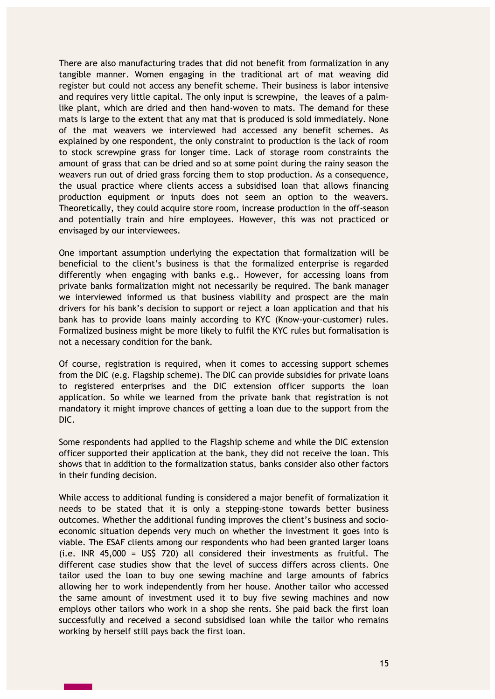There are also manufacturing trades that did not benefit from formalization in any tangible manner. Women engaging in the traditional art of mat weaving did register but could not access any benefit scheme. Their business is labor intensive and requires very little capital. The only input is screwpine, the leaves of a palmlike plant, which are dried and then hand-woven to mats. The demand for these mats is large to the extent that any mat that is produced is sold immediately. None of the mat weavers we interviewed had accessed any benefit schemes. As explained by one respondent, the only constraint to production is the lack of room to stock screwpine grass for longer time. Lack of storage room constraints the amount of grass that can be dried and so at some point during the rainy season the weavers run out of dried grass forcing them to stop production. As a consequence, the usual practice where clients access a subsidised loan that allows financing production equipment or inputs does not seem an option to the weavers. Theoretically, they could acquire store room, increase production in the off-season and potentially train and hire employees. However, this was not practiced or envisaged by our interviewees.

One important assumption underlying the expectation that formalization will be beneficial to the client's business is that the formalized enterprise is regarded differently when engaging with banks e.g.. However, for accessing loans from private banks formalization might not necessarily be required. The bank manager we interviewed informed us that business viability and prospect are the main drivers for his bank's decision to support or reject a loan application and that his bank has to provide loans mainly according to KYC (Know-your-customer) rules. Formalized business might be more likely to fulfil the KYC rules but formalisation is not a necessary condition for the bank.

Of course, registration is required, when it comes to accessing support schemes from the DIC (e.g. Flagship scheme). The DIC can provide subsidies for private loans to registered enterprises and the DIC extension officer supports the loan application. So while we learned from the private bank that registration is not mandatory it might improve chances of getting a loan due to the support from the DIC.

Some respondents had applied to the Flagship scheme and while the DIC extension officer supported their application at the bank, they did not receive the loan. This shows that in addition to the formalization status, banks consider also other factors in their funding decision.

While access to additional funding is considered a major benefit of formalization it needs to be stated that it is only a stepping-stone towards better business outcomes. Whether the additional funding improves the client's business and socioeconomic situation depends very much on whether the investment it goes into is viable. The ESAF clients among our respondents who had been granted larger loans (i.e. INR 45,000 = US\$ 720) all considered their investments as fruitful. The different case studies show that the level of success differs across clients. One tailor used the loan to buy one sewing machine and large amounts of fabrics allowing her to work independently from her house. Another tailor who accessed the same amount of investment used it to buy five sewing machines and now employs other tailors who work in a shop she rents. She paid back the first loan successfully and received a second subsidised loan while the tailor who remains working by herself still pays back the first loan.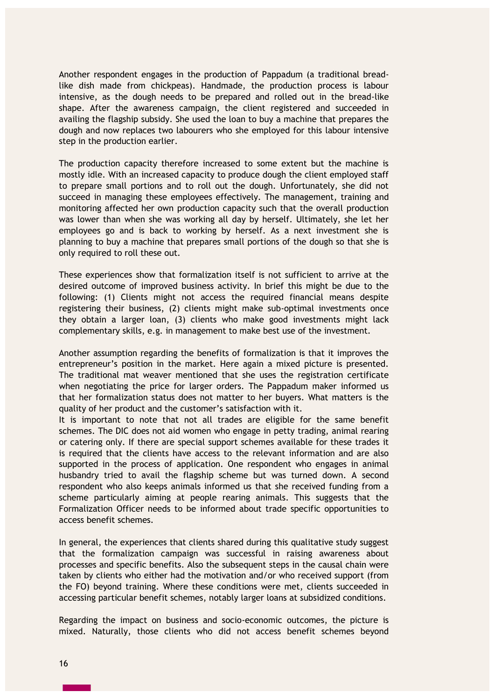Another respondent engages in the production of Pappadum (a traditional breadlike dish made from chickpeas). Handmade, the production process is labour intensive, as the dough needs to be prepared and rolled out in the bread-like shape. After the awareness campaign, the client registered and succeeded in availing the flagship subsidy. She used the loan to buy a machine that prepares the dough and now replaces two labourers who she employed for this labour intensive step in the production earlier.

The production capacity therefore increased to some extent but the machine is mostly idle. With an increased capacity to produce dough the client employed staff to prepare small portions and to roll out the dough. Unfortunately, she did not succeed in managing these employees effectively. The management, training and monitoring affected her own production capacity such that the overall production was lower than when she was working all day by herself. Ultimately, she let her employees go and is back to working by herself. As a next investment she is planning to buy a machine that prepares small portions of the dough so that she is only required to roll these out.

These experiences show that formalization itself is not sufficient to arrive at the desired outcome of improved business activity. In brief this might be due to the following: (1) Clients might not access the required financial means despite registering their business, (2) clients might make sub-optimal investments once they obtain a larger loan, (3) clients who make good investments might lack complementary skills, e.g. in management to make best use of the investment.

Another assumption regarding the benefits of formalization is that it improves the entrepreneur's position in the market. Here again a mixed picture is presented. The traditional mat weaver mentioned that she uses the registration certificate when negotiating the price for larger orders. The Pappadum maker informed us that her formalization status does not matter to her buyers. What matters is the quality of her product and the customer's satisfaction with it.

It is important to note that not all trades are eligible for the same benefit schemes. The DIC does not aid women who engage in petty trading, animal rearing or catering only. If there are special support schemes available for these trades it is required that the clients have access to the relevant information and are also supported in the process of application. One respondent who engages in animal husbandry tried to avail the flagship scheme but was turned down. A second respondent who also keeps animals informed us that she received funding from a scheme particularly aiming at people rearing animals. This suggests that the Formalization Officer needs to be informed about trade specific opportunities to access benefit schemes.

In general, the experiences that clients shared during this qualitative study suggest that the formalization campaign was successful in raising awareness about processes and specific benefits. Also the subsequent steps in the causal chain were taken by clients who either had the motivation and/or who received support (from the FO) beyond training. Where these conditions were met, clients succeeded in accessing particular benefit schemes, notably larger loans at subsidized conditions.

Regarding the impact on business and socio-economic outcomes, the picture is mixed. Naturally, those clients who did not access benefit schemes beyond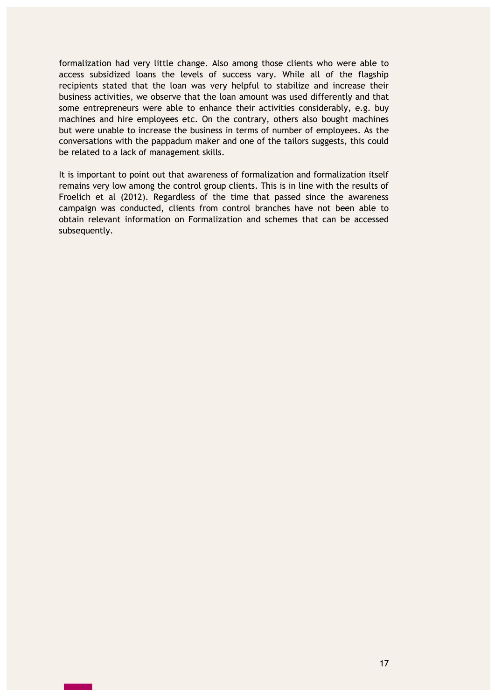formalization had very little change. Also among those clients who were able to access subsidized loans the levels of success vary. While all of the flagship recipients stated that the loan was very helpful to stabilize and increase their business activities, we observe that the loan amount was used differently and that some entrepreneurs were able to enhance their activities considerably, e.g. buy machines and hire employees etc. On the contrary, others also bought machines but were unable to increase the business in terms of number of employees. As the conversations with the pappadum maker and one of the tailors suggests, this could be related to a lack of management skills.

It is important to point out that awareness of formalization and formalization itself remains very low among the control group clients. This is in line with the results of Froelich et al (2012). Regardless of the time that passed since the awareness campaign was conducted, clients from control branches have not been able to obtain relevant information on Formalization and schemes that can be accessed subsequently.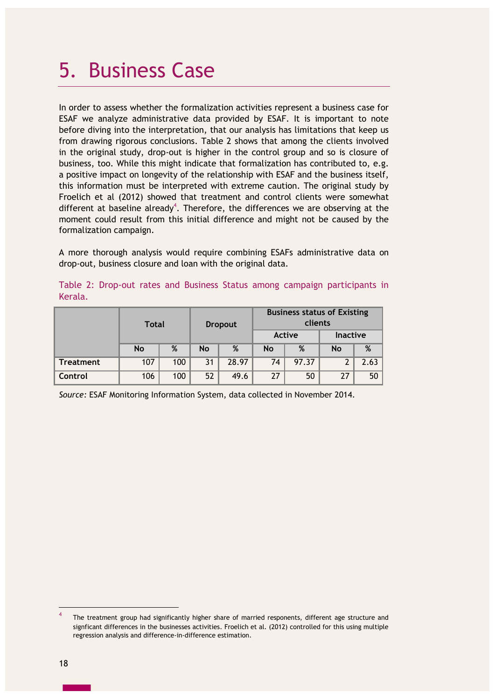## 5. Business Case

In order to assess whether the formalization activities represent a business case for ESAF we analyze administrative data provided by ESAF. It is important to note before diving into the interpretation, that our analysis has limitations that keep us from drawing rigorous conclusions. Table 2 shows that among the clients involved in the original study, drop-out is higher in the control group and so is closure of business, too. While this might indicate that formalization has contributed to, e.g. a positive impact on longevity of the relationship with ESAF and the business itself, this information must be interpreted with extreme caution. The original study by Froelich et al (2012) showed that treatment and control clients were somewhat different at baseline already<sup>4</sup>. Therefore, the differences we are observing at the moment could result from this initial difference and might not be caused by the formalization campaign.

A more thorough analysis would require combining ESAFs administrative data on drop-out, business closure and loan with the original data.

|         |  |  |  | Table 2: Drop-out rates and Business Status among campaign participants in |  |
|---------|--|--|--|----------------------------------------------------------------------------|--|
| Kerala. |  |  |  |                                                                            |  |

|                  | <b>Total</b> |     | <b>Dropout</b> |       | <b>Business status of Existing</b><br>clients |       |                 |      |
|------------------|--------------|-----|----------------|-------|-----------------------------------------------|-------|-----------------|------|
|                  |              |     |                |       | Active                                        |       | <b>Inactive</b> |      |
|                  | <b>No</b>    | %   | <b>No</b>      | %     | <b>No</b>                                     | %     | <b>No</b>       | %    |
| <b>Treatment</b> | 107          | 100 | 31             | 28.97 | 74                                            | 97.37 | ົ               | 2.63 |
| Control          | 106          | 100 | 52             | 49.6  | 27                                            | 50    | 27              | 50   |

*Source:* ESAF Monitoring Information System, data collected in November 2014.

 $\overline{a}$ 

<sup>4</sup> The treatment group had significantly higher share of married responents, different age structure and signficant differences in the businesses activities. Froelich et al. (2012) controlled for this using multiple regression analysis and difference-in-difference estimation.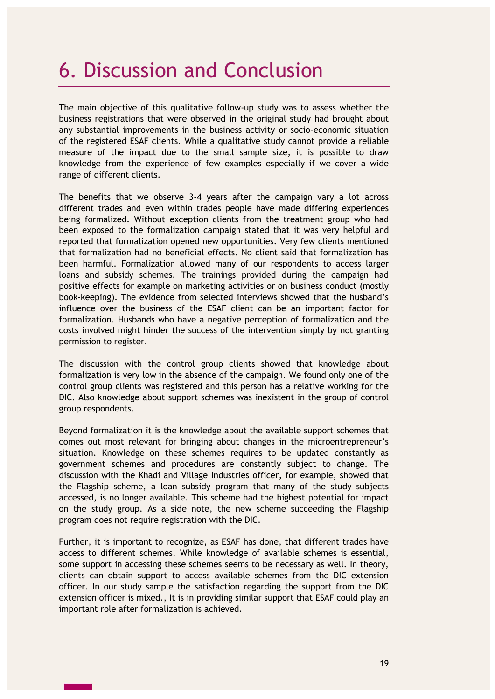## 6. Discussion and Conclusion

The main objective of this qualitative follow-up study was to assess whether the business registrations that were observed in the original study had brought about any substantial improvements in the business activity or socio-economic situation of the registered ESAF clients. While a qualitative study cannot provide a reliable measure of the impact due to the small sample size, it is possible to draw knowledge from the experience of few examples especially if we cover a wide range of different clients.

The benefits that we observe 3-4 years after the campaign vary a lot across different trades and even within trades people have made differing experiences being formalized. Without exception clients from the treatment group who had been exposed to the formalization campaign stated that it was very helpful and reported that formalization opened new opportunities. Very few clients mentioned that formalization had no beneficial effects. No client said that formalization has been harmful. Formalization allowed many of our respondents to access larger loans and subsidy schemes. The trainings provided during the campaign had positive effects for example on marketing activities or on business conduct (mostly book-keeping). The evidence from selected interviews showed that the husband's influence over the business of the ESAF client can be an important factor for formalization. Husbands who have a negative perception of formalization and the costs involved might hinder the success of the intervention simply by not granting permission to register.

The discussion with the control group clients showed that knowledge about formalization is very low in the absence of the campaign. We found only one of the control group clients was registered and this person has a relative working for the DIC. Also knowledge about support schemes was inexistent in the group of control group respondents.

Beyond formalization it is the knowledge about the available support schemes that comes out most relevant for bringing about changes in the microentrepreneur's situation. Knowledge on these schemes requires to be updated constantly as government schemes and procedures are constantly subject to change. The discussion with the Khadi and Village Industries officer, for example, showed that the Flagship scheme, a loan subsidy program that many of the study subjects accessed, is no longer available. This scheme had the highest potential for impact on the study group. As a side note, the new scheme succeeding the Flagship program does not require registration with the DIC.

Further, it is important to recognize, as ESAF has done, that different trades have access to different schemes. While knowledge of available schemes is essential, some support in accessing these schemes seems to be necessary as well. In theory, clients can obtain support to access available schemes from the DIC extension officer. In our study sample the satisfaction regarding the support from the DIC extension officer is mixed., It is in providing similar support that ESAF could play an important role after formalization is achieved.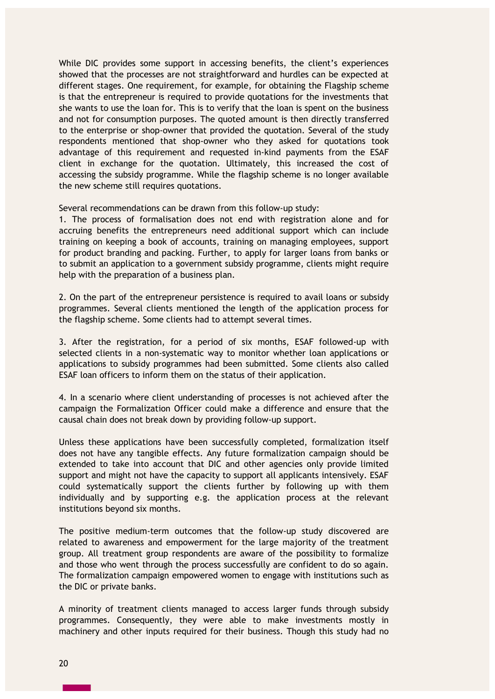While DIC provides some support in accessing benefits, the client's experiences showed that the processes are not straightforward and hurdles can be expected at different stages. One requirement, for example, for obtaining the Flagship scheme is that the entrepreneur is required to provide quotations for the investments that she wants to use the loan for. This is to verify that the loan is spent on the business and not for consumption purposes. The quoted amount is then directly transferred to the enterprise or shop-owner that provided the quotation. Several of the study respondents mentioned that shop-owner who they asked for quotations took advantage of this requirement and requested in-kind payments from the ESAF client in exchange for the quotation. Ultimately, this increased the cost of accessing the subsidy programme. While the flagship scheme is no longer available the new scheme still requires quotations.

Several recommendations can be drawn from this follow-up study:

1. The process of formalisation does not end with registration alone and for accruing benefits the entrepreneurs need additional support which can include training on keeping a book of accounts, training on managing employees, support for product branding and packing. Further, to apply for larger loans from banks or to submit an application to a government subsidy programme, clients might require help with the preparation of a business plan.

2. On the part of the entrepreneur persistence is required to avail loans or subsidy programmes. Several clients mentioned the length of the application process for the flagship scheme. Some clients had to attempt several times.

3. After the registration, for a period of six months, ESAF followed-up with selected clients in a non-systematic way to monitor whether loan applications or applications to subsidy programmes had been submitted. Some clients also called ESAF loan officers to inform them on the status of their application.

4. In a scenario where client understanding of processes is not achieved after the campaign the Formalization Officer could make a difference and ensure that the causal chain does not break down by providing follow-up support.

Unless these applications have been successfully completed, formalization itself does not have any tangible effects. Any future formalization campaign should be extended to take into account that DIC and other agencies only provide limited support and might not have the capacity to support all applicants intensively. ESAF could systematically support the clients further by following up with them individually and by supporting e.g. the application process at the relevant institutions beyond six months.

The positive medium-term outcomes that the follow-up study discovered are related to awareness and empowerment for the large majority of the treatment group. All treatment group respondents are aware of the possibility to formalize and those who went through the process successfully are confident to do so again. The formalization campaign empowered women to engage with institutions such as the DIC or private banks.

A minority of treatment clients managed to access larger funds through subsidy programmes. Consequently, they were able to make investments mostly in machinery and other inputs required for their business. Though this study had no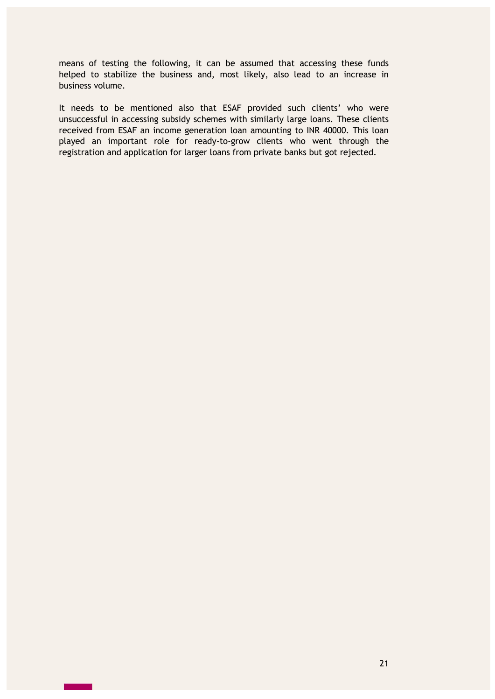means of testing the following, it can be assumed that accessing these funds helped to stabilize the business and, most likely, also lead to an increase in business volume.

It needs to be mentioned also that ESAF provided such clients' who were unsuccessful in accessing subsidy schemes with similarly large loans. These clients received from ESAF an income generation loan amounting to INR 40000. This loan played an important role for ready-to-grow clients who went through the registration and application for larger loans from private banks but got rejected.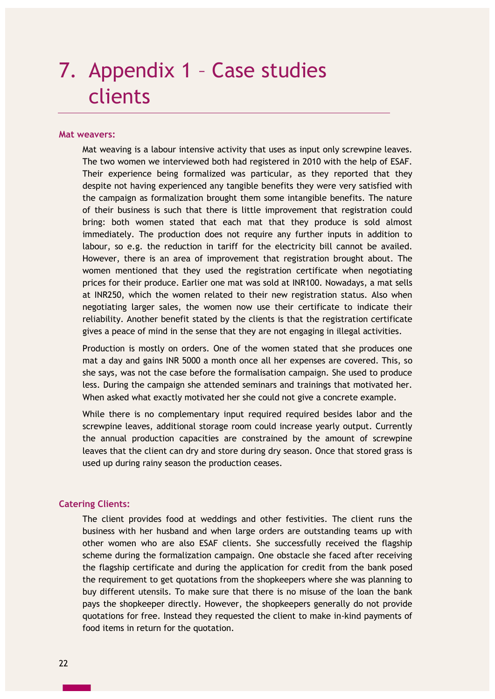# 7. Appendix 1 – Case studies clients

#### **Mat weavers:**

Mat weaving is a labour intensive activity that uses as input only screwpine leaves. The two women we interviewed both had registered in 2010 with the help of ESAF. Their experience being formalized was particular, as they reported that they despite not having experienced any tangible benefits they were very satisfied with the campaign as formalization brought them some intangible benefits. The nature of their business is such that there is little improvement that registration could bring: both women stated that each mat that they produce is sold almost immediately. The production does not require any further inputs in addition to labour, so e.g. the reduction in tariff for the electricity bill cannot be availed. However, there is an area of improvement that registration brought about. The women mentioned that they used the registration certificate when negotiating prices for their produce. Earlier one mat was sold at INR100. Nowadays, a mat sells at INR250, which the women related to their new registration status. Also when negotiating larger sales, the women now use their certificate to indicate their reliability. Another benefit stated by the clients is that the registration certificate gives a peace of mind in the sense that they are not engaging in illegal activities.

Production is mostly on orders. One of the women stated that she produces one mat a day and gains INR 5000 a month once all her expenses are covered. This, so she says, was not the case before the formalisation campaign. She used to produce less. During the campaign she attended seminars and trainings that motivated her. When asked what exactly motivated her she could not give a concrete example.

While there is no complementary input required required besides labor and the screwpine leaves, additional storage room could increase yearly output. Currently the annual production capacities are constrained by the amount of screwpine leaves that the client can dry and store during dry season. Once that stored grass is used up during rainy season the production ceases.

### **Catering Clients:**

The client provides food at weddings and other festivities. The client runs the business with her husband and when large orders are outstanding teams up with other women who are also ESAF clients. She successfully received the flagship scheme during the formalization campaign. One obstacle she faced after receiving the flagship certificate and during the application for credit from the bank posed the requirement to get quotations from the shopkeepers where she was planning to buy different utensils. To make sure that there is no misuse of the loan the bank pays the shopkeeper directly. However, the shopkeepers generally do not provide quotations for free. Instead they requested the client to make in-kind payments of food items in return for the quotation.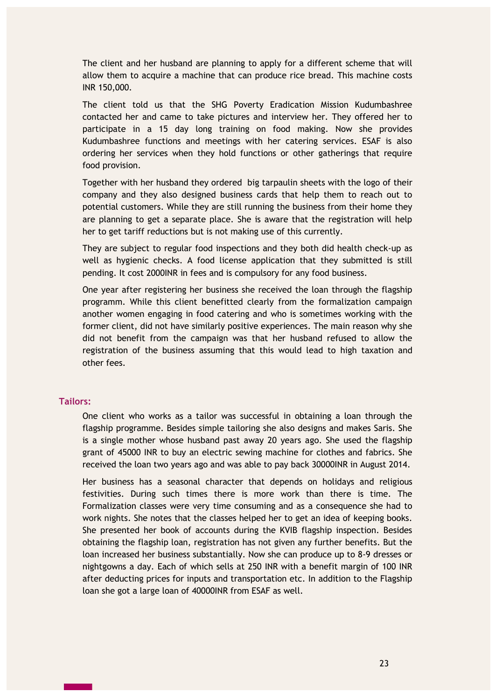The client and her husband are planning to apply for a different scheme that will allow them to acquire a machine that can produce rice bread. This machine costs INR 150,000.

The client told us that the SHG Poverty Eradication Mission Kudumbashree contacted her and came to take pictures and interview her. They offered her to participate in a 15 day long training on food making. Now she provides Kudumbashree functions and meetings with her catering services. ESAF is also ordering her services when they hold functions or other gatherings that require food provision.

Together with her husband they ordered big tarpaulin sheets with the logo of their company and they also designed business cards that help them to reach out to potential customers. While they are still running the business from their home they are planning to get a separate place. She is aware that the registration will help her to get tariff reductions but is not making use of this currently.

They are subject to regular food inspections and they both did health check-up as well as hygienic checks. A food license application that they submitted is still pending. It cost 2000INR in fees and is compulsory for any food business.

One year after registering her business she received the loan through the flagship programm. While this client benefitted clearly from the formalization campaign another women engaging in food catering and who is sometimes working with the former client, did not have similarly positive experiences. The main reason why she did not benefit from the campaign was that her husband refused to allow the registration of the business assuming that this would lead to high taxation and other fees.

### **Tailors:**

One client who works as a tailor was successful in obtaining a loan through the flagship programme. Besides simple tailoring she also designs and makes Saris. She is a single mother whose husband past away 20 years ago. She used the flagship grant of 45000 INR to buy an electric sewing machine for clothes and fabrics. She received the loan two years ago and was able to pay back 30000INR in August 2014.

Her business has a seasonal character that depends on holidays and religious festivities. During such times there is more work than there is time. The Formalization classes were very time consuming and as a consequence she had to work nights. She notes that the classes helped her to get an idea of keeping books. She presented her book of accounts during the KVIB flagship inspection. Besides obtaining the flagship loan, registration has not given any further benefits. But the loan increased her business substantially. Now she can produce up to 8-9 dresses or nightgowns a day. Each of which sells at 250 INR with a benefit margin of 100 INR after deducting prices for inputs and transportation etc. In addition to the Flagship loan she got a large loan of 40000INR from ESAF as well.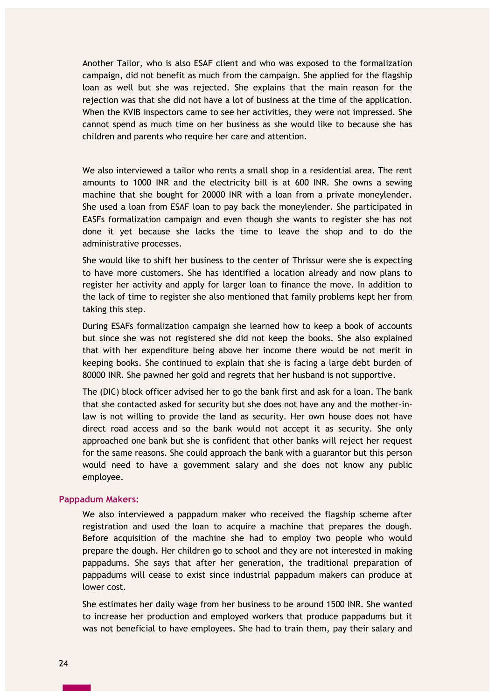Another Tailor, who is also ESAF client and who was exposed to the formalization campaign, did not benefit as much from the campaign. She applied for the flagship loan as well but she was rejected. She explains that the main reason for the rejection was that she did not have a lot of business at the time of the application. When the KVIB inspectors came to see her activities, they were not impressed. She cannot spend as much time on her business as she would like to because she has children and parents who require her care and attention.

We also interviewed a tailor who rents a small shop in a residential area. The rent amounts to 1000 INR and the electricity bill is at 600 INR. She owns a sewing machine that she bought for 20000 INR with a loan from a private moneylender. She used a loan from ESAF loan to pay back the moneylender. She participated in EASFs formalization campaign and even though she wants to register she has not done it yet because she lacks the time to leave the shop and to do the administrative processes.

She would like to shift her business to the center of Thrissur were she is expecting to have more customers. She has identified a location already and now plans to register her activity and apply for larger loan to finance the move. In addition to the lack of time to register she also mentioned that family problems kept her from taking this step.

During ESAFs formalization campaign she learned how to keep a book of accounts but since she was not registered she did not keep the books. She also explained that with her expenditure being above her income there would be not merit in keeping books. She continued to explain that she is facing a large debt burden of 80000 INR. She pawned her gold and regrets that her husband is not supportive.

The (DIC) block officer advised her to go the bank first and ask for a loan. The bank that she contacted asked for security but she does not have any and the mother-inlaw is not willing to provide the land as security. Her own house does not have direct road access and so the bank would not accept it as security. She only approached one bank but she is confident that other banks will reject her request for the same reasons. She could approach the bank with a guarantor but this person would need to have a government salary and she does not know any public employee.

#### **Pappadum Makers:**

We also interviewed a pappadum maker who received the flagship scheme after registration and used the loan to acquire a machine that prepares the dough. Before acquisition of the machine she had to employ two people who would prepare the dough. Her children go to school and they are not interested in making pappadums. She says that after her generation, the traditional preparation of pappadums will cease to exist since industrial pappadum makers can produce at lower cost.

She estimates her daily wage from her business to be around 1500 INR. She wanted to increase her production and employed workers that produce pappadums but it was not beneficial to have employees. She had to train them, pay their salary and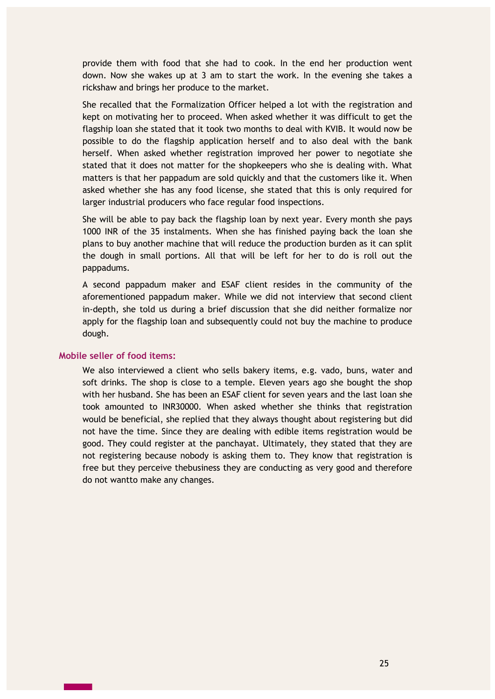provide them with food that she had to cook. In the end her production went down. Now she wakes up at 3 am to start the work. In the evening she takes a rickshaw and brings her produce to the market.

She recalled that the Formalization Officer helped a lot with the registration and kept on motivating her to proceed. When asked whether it was difficult to get the flagship loan she stated that it took two months to deal with KVIB. It would now be possible to do the flagship application herself and to also deal with the bank herself. When asked whether registration improved her power to negotiate she stated that it does not matter for the shopkeepers who she is dealing with. What matters is that her pappadum are sold quickly and that the customers like it. When asked whether she has any food license, she stated that this is only required for larger industrial producers who face regular food inspections.

She will be able to pay back the flagship loan by next year. Every month she pays 1000 INR of the 35 instalments. When she has finished paying back the loan she plans to buy another machine that will reduce the production burden as it can split the dough in small portions. All that will be left for her to do is roll out the pappadums.

A second pappadum maker and ESAF client resides in the community of the aforementioned pappadum maker. While we did not interview that second client in-depth, she told us during a brief discussion that she did neither formalize nor apply for the flagship loan and subsequently could not buy the machine to produce dough.

### **Mobile seller of food items:**

We also interviewed a client who sells bakery items, e.g. vado, buns, water and soft drinks. The shop is close to a temple. Eleven years ago she bought the shop with her husband. She has been an ESAF client for seven years and the last loan she took amounted to INR30000. When asked whether she thinks that registration would be beneficial, she replied that they always thought about registering but did not have the time. Since they are dealing with edible items registration would be good. They could register at the panchayat. Ultimately, they stated that they are not registering because nobody is asking them to. They know that registration is free but they perceive thebusiness they are conducting as very good and therefore do not wantto make any changes.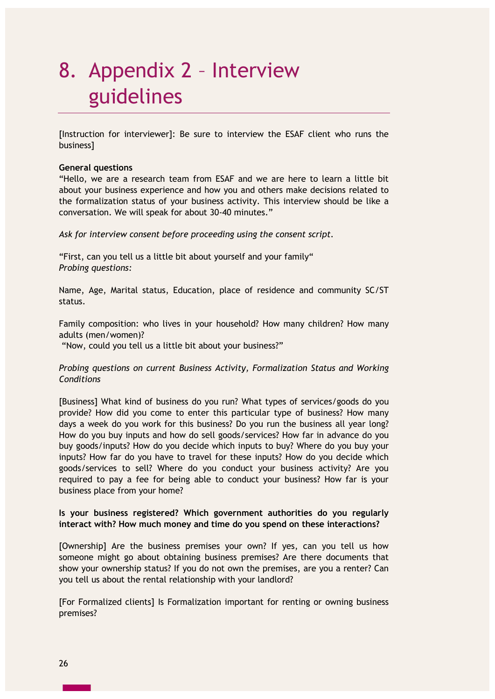# 8. Appendix 2 – Interview guidelines

[Instruction for interviewer]: Be sure to interview the ESAF client who runs the business]

#### **General questions**

"Hello, we are a research team from ESAF and we are here to learn a little bit about your business experience and how you and others make decisions related to the formalization status of your business activity. This interview should be like a conversation. We will speak for about 30-40 minutes."

*Ask for interview consent before proceeding using the consent script.* 

"First, can you tell us a little bit about yourself and your family" *Probing questions:*

Name, Age, Marital status, Education, place of residence and community SC/ST status.

Family composition: who lives in your household? How many children? How many adults (men/women)?

"Now, could you tell us a little bit about your business?"

### *Probing questions on current Business Activity, Formalization Status and Working Conditions*

[Business] What kind of business do you run? What types of services/goods do you provide? How did you come to enter this particular type of business? How many days a week do you work for this business? Do you run the business all year long? How do you buy inputs and how do sell goods/services? How far in advance do you buy goods/inputs? How do you decide which inputs to buy? Where do you buy your inputs? How far do you have to travel for these inputs? How do you decide which goods/services to sell? Where do you conduct your business activity? Are you required to pay a fee for being able to conduct your business? How far is your business place from your home?

### **Is your business registered? Which government authorities do you regularly interact with? How much money and time do you spend on these interactions?**

[Ownership] Are the business premises your own? If yes, can you tell us how someone might go about obtaining business premises? Are there documents that show your ownership status? If you do not own the premises, are you a renter? Can you tell us about the rental relationship with your landlord?

[For Formalized clients] Is Formalization important for renting or owning business premises?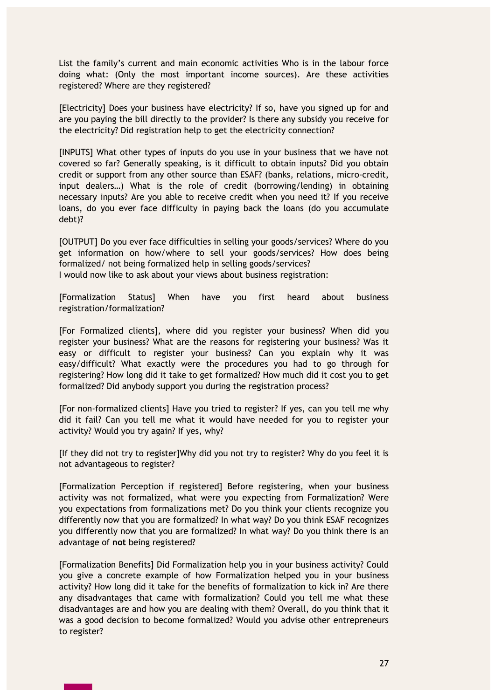List the family's current and main economic activities Who is in the labour force doing what: (Only the most important income sources). Are these activities registered? Where are they registered?

[Electricity] Does your business have electricity? If so, have you signed up for and are you paying the bill directly to the provider? Is there any subsidy you receive for the electricity? Did registration help to get the electricity connection?

[INPUTS] What other types of inputs do you use in your business that we have not covered so far? Generally speaking, is it difficult to obtain inputs? Did you obtain credit or support from any other source than ESAF? (banks, relations, micro-credit, input dealers…) What is the role of credit (borrowing/lending) in obtaining necessary inputs? Are you able to receive credit when you need it? If you receive loans, do you ever face difficulty in paying back the loans (do you accumulate debt)?

[OUTPUT] Do you ever face difficulties in selling your goods/services? Where do you get information on how/where to sell your goods/services? How does being formalized/ not being formalized help in selling goods/services? I would now like to ask about your views about business registration:

[Formalization Status] When have you first heard about business registration/formalization?

[For Formalized clients], where did you register your business? When did you register your business? What are the reasons for registering your business? Was it easy or difficult to register your business? Can you explain why it was easy/difficult? What exactly were the procedures you had to go through for registering? How long did it take to get formalized? How much did it cost you to get formalized? Did anybody support you during the registration process?

[For non-formalized clients] Have you tried to register? If yes, can you tell me why did it fail? Can you tell me what it would have needed for you to register your activity? Would you try again? If yes, why?

[If they did not try to register]Why did you not try to register? Why do you feel it is not advantageous to register?

[Formalization Perception if registered] Before registering, when your business activity was not formalized, what were you expecting from Formalization? Were you expectations from formalizations met? Do you think your clients recognize you differently now that you are formalized? In what way? Do you think ESAF recognizes you differently now that you are formalized? In what way? Do you think there is an advantage of **not** being registered?

[Formalization Benefits] Did Formalization help you in your business activity? Could you give a concrete example of how Formalization helped you in your business activity? How long did it take for the benefits of formalization to kick in? Are there any disadvantages that came with formalization? Could you tell me what these disadvantages are and how you are dealing with them? Overall, do you think that it was a good decision to become formalized? Would you advise other entrepreneurs to register?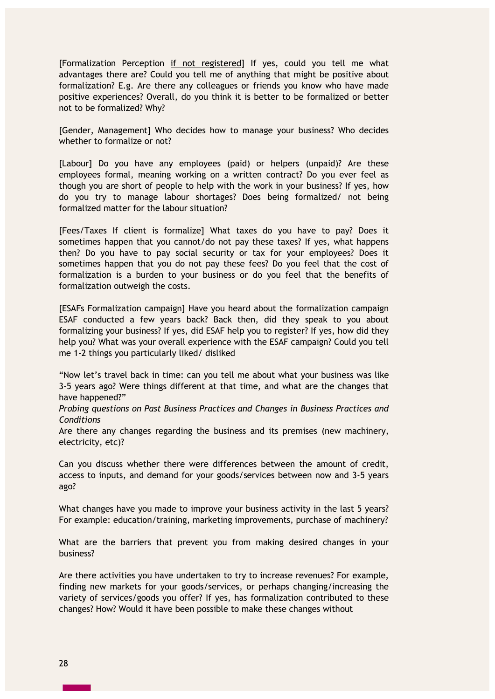[Formalization Perception if not registered] If yes, could you tell me what advantages there are? Could you tell me of anything that might be positive about formalization? E.g. Are there any colleagues or friends you know who have made positive experiences? Overall, do you think it is better to be formalized or better not to be formalized? Why?

[Gender, Management] Who decides how to manage your business? Who decides whether to formalize or not?

[Labour] Do you have any employees (paid) or helpers (unpaid)? Are these employees formal, meaning working on a written contract? Do you ever feel as though you are short of people to help with the work in your business? If yes, how do you try to manage labour shortages? Does being formalized/ not being formalized matter for the labour situation?

[Fees/Taxes If client is formalize] What taxes do you have to pay? Does it sometimes happen that you cannot/do not pay these taxes? If yes, what happens then? Do you have to pay social security or tax for your employees? Does it sometimes happen that you do not pay these fees? Do you feel that the cost of formalization is a burden to your business or do you feel that the benefits of formalization outweigh the costs.

[ESAFs Formalization campaign] Have you heard about the formalization campaign ESAF conducted a few years back? Back then, did they speak to you about formalizing your business? If yes, did ESAF help you to register? If yes, how did they help you? What was your overall experience with the ESAF campaign? Could you tell me 1-2 things you particularly liked/ disliked

"Now let's travel back in time: can you tell me about what your business was like 3-5 years ago? Were things different at that time, and what are the changes that have happened?"

*Probing questions on Past Business Practices and Changes in Business Practices and Conditions*

Are there any changes regarding the business and its premises (new machinery, electricity, etc)?

Can you discuss whether there were differences between the amount of credit, access to inputs, and demand for your goods/services between now and 3-5 years ago?

What changes have you made to improve your business activity in the last 5 years? For example: education/training, marketing improvements, purchase of machinery?

What are the barriers that prevent you from making desired changes in your business?

Are there activities you have undertaken to try to increase revenues? For example, finding new markets for your goods/services, or perhaps changing/increasing the variety of services/goods you offer? If yes, has formalization contributed to these changes? How? Would it have been possible to make these changes without